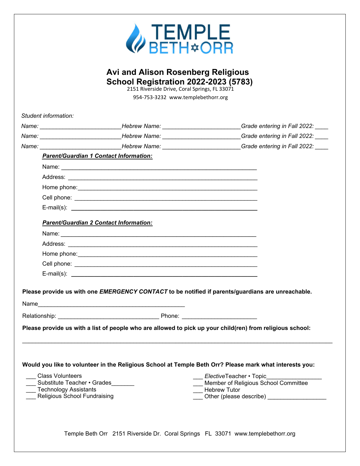

## **Avi and Alison Rosenberg Religious School Registration 2022-2023 (5783)**

2151 Riverside Drive, Coral Springs, FL 33071 954-753-3232 www.templebethorr.org

Temple Beth Orr 2151 Riverside Dr. Coral Springs FL 33071 www.templebethorr.org *Student information: Name: \_\_\_\_\_\_\_\_\_\_\_\_\_\_\_\_\_\_\_\_\_\_\_\_\_Hebrew Name: \_\_\_\_\_\_\_\_\_\_\_\_\_\_\_\_\_\_\_\_\_\_\_\_Grade entering in Fall 2022: \_\_\_\_ Name: \_\_\_\_\_\_\_\_\_\_\_\_\_\_\_\_\_\_\_\_\_\_\_\_\_Hebrew Name: \_\_\_\_\_\_\_\_\_\_\_\_\_\_\_\_\_\_\_\_\_\_\_\_Grade entering in Fall 2022: \_\_\_\_ Name: \_\_\_\_\_\_\_\_\_\_\_\_\_\_\_\_\_\_\_\_\_\_\_\_\_Hebrew Name: \_\_\_\_\_\_\_\_\_\_\_\_\_\_\_\_\_\_\_\_\_\_\_\_Grade entering in Fall 2022: \_\_\_\_ Parent/Guardian 1 Contact Information:* Name: Address: \_\_\_\_\_\_\_\_\_\_\_\_\_\_\_\_\_\_\_\_\_\_\_\_\_\_\_\_\_\_\_\_\_\_\_\_\_\_\_\_\_\_\_\_\_\_\_\_\_\_\_\_\_\_\_\_\_\_ Home phone: Cell phone: \_\_\_\_\_\_\_\_\_\_\_\_\_\_\_\_\_\_\_\_\_\_\_\_\_\_\_\_\_\_\_\_\_\_\_\_\_\_\_\_\_\_\_\_\_\_\_\_\_\_\_\_\_\_\_\_ E-mail(s): **\_\_\_\_\_\_\_\_\_\_\_\_\_\_\_\_\_\_\_\_\_\_\_\_\_\_\_\_\_\_\_\_\_\_\_\_\_\_\_\_\_\_\_\_\_\_\_\_\_\_\_\_\_\_\_\_\_** *Parent/Guardian 2 Contact Information:* Name: Address: \_\_\_\_\_\_\_\_\_\_\_\_\_\_\_\_\_\_\_\_\_\_\_\_\_\_\_\_\_\_\_\_\_\_\_\_\_\_\_\_\_\_\_\_\_\_\_\_\_\_\_\_\_\_\_\_\_\_ Home phone: Cell phone: \_\_\_\_\_\_\_\_\_\_\_\_\_\_\_\_\_\_\_\_\_\_\_\_\_\_\_\_\_\_\_\_\_\_\_\_\_\_\_\_\_\_\_\_\_\_\_\_\_\_\_\_\_\_\_\_ E-mail(s): **\_\_\_\_\_\_\_\_\_\_\_\_\_\_\_\_\_\_\_\_\_\_\_\_\_\_\_\_\_\_\_\_\_\_\_\_\_\_\_\_\_\_\_\_\_\_\_\_\_\_\_\_\_\_\_\_\_ Please provide us with one** *EMERGENCY CONTACT* **to be notified if parents/guardians are unreachable.**  Name\_\_\_\_\_\_\_\_\_\_\_\_\_\_\_\_\_\_\_\_\_\_\_\_\_\_\_\_\_\_\_\_\_\_\_\_\_\_\_\_\_\_\_\_\_ Relationship: \_\_\_\_\_\_\_\_\_\_\_\_\_\_\_\_\_\_\_\_\_\_\_\_\_\_\_\_\_\_\_ Phone: \_\_\_\_\_\_\_\_\_\_\_\_\_\_\_\_\_\_\_\_\_\_\_ **Please provide us with a list of people who are allowed to pick up your child(ren) from religious school:**  \_\_\_\_\_\_\_\_\_\_\_\_\_\_\_\_\_\_\_\_\_\_\_\_\_\_\_\_\_\_\_\_\_\_\_\_\_\_\_\_\_\_\_\_\_\_\_\_\_\_\_\_\_\_\_\_\_\_\_\_\_\_\_\_\_\_\_\_\_\_\_\_\_\_\_\_\_\_\_\_\_\_\_\_\_\_\_\_\_\_\_\_\_\_\_ **Would you like to volunteer in the Religious School at Temple Beth Orr? Please mark what interests you:**  \_\_\_ Class Volunteers Substitute Teacher • Grades \_\_\_ Technology Assistants Religious School Fundraising \_\_\_ *Elective*Teacher • Topic\_\_\_\_\_\_\_\_\_\_\_\_\_\_\_\_\_ Member of Religious School Committee \_\_\_ Hebrew Tutor \_\_\_ Other (please describe) \_\_\_\_\_\_\_\_\_\_\_\_\_\_\_\_\_\_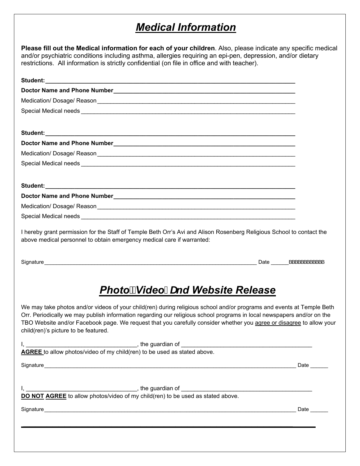## *Medical Information*

**Please fill out the Medical information for each of your children**. Also, please indicate any specific medical and/or psychiatric conditions including asthma, allergies requiring an epi-pen, depression, and/or dietary restrictions. All information is strictly confidential (on file in office and with teacher).

| I hereby grant permission for the Staff of Temple Beth Orr's Avi and Alison Rosenberg Religious School to contact the<br>above medical personnel to obtain emergency medical care if warranted:                                                                                                                           |      |
|---------------------------------------------------------------------------------------------------------------------------------------------------------------------------------------------------------------------------------------------------------------------------------------------------------------------------|------|
|                                                                                                                                                                                                                                                                                                                           |      |
| Signature Date Description of the Contract of the Contract of the Contract of the Contract of the Contract of the Contract of the Contract of the Contract of the Contract of the Contract of the Contract of the Contract of                                                                                             |      |
| PhotožVideožUnd Website Release<br>Orr. Periodically we may publish information regarding our religious school programs in local newspapers and/or on the<br>TBO Website and/or Facebook page. We request that you carefully consider whether you agree or disagree to allow your<br>child(ren)'s picture to be featured. |      |
|                                                                                                                                                                                                                                                                                                                           |      |
|                                                                                                                                                                                                                                                                                                                           |      |
| We may take photos and/or videos of your child(ren) during religious school and/or programs and events at Temple Beth                                                                                                                                                                                                     | Date |
|                                                                                                                                                                                                                                                                                                                           |      |
|                                                                                                                                                                                                                                                                                                                           |      |
|                                                                                                                                                                                                                                                                                                                           |      |
|                                                                                                                                                                                                                                                                                                                           | Date |